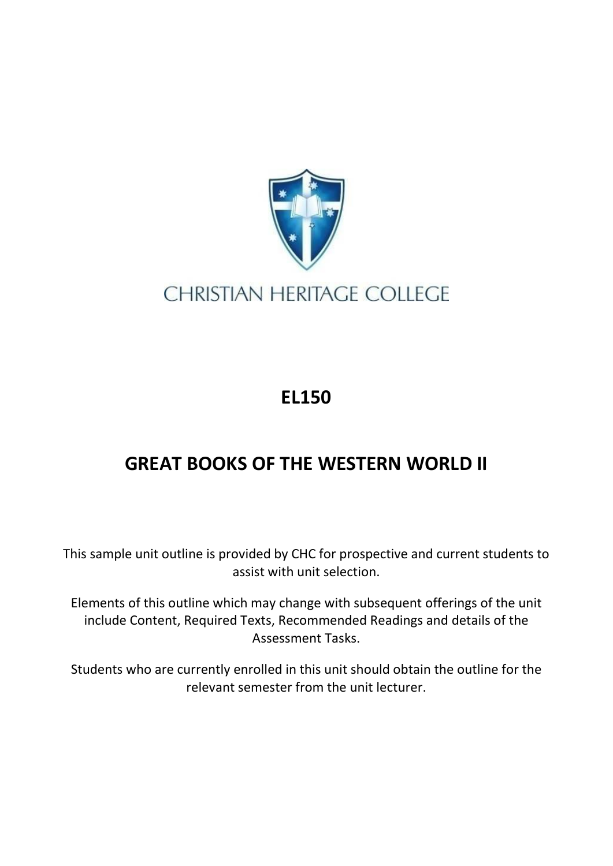

## **CHRISTIAN HERITAGE COLLEGE**

## **EL150**

## **GREAT BOOKS OF THE WESTERN WORLD II**

This sample unit outline is provided by CHC for prospective and current students to assist with unit selection.

Elements of this outline which may change with subsequent offerings of the unit include Content, Required Texts, Recommended Readings and details of the Assessment Tasks.

Students who are currently enrolled in this unit should obtain the outline for the relevant semester from the unit lecturer.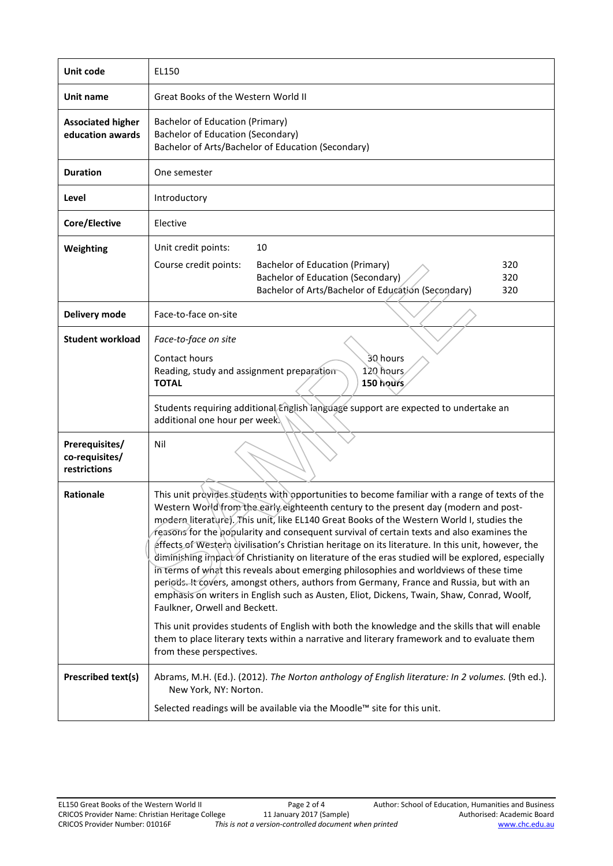| Unit code                                        | EL150                                                                                                                                                                                                                                                                                                                                                                                                                                                                                                                                                                                                                                                                                                                                                                                                                                                                                                                                                                                                                                                                                                                                         |  |  |  |
|--------------------------------------------------|-----------------------------------------------------------------------------------------------------------------------------------------------------------------------------------------------------------------------------------------------------------------------------------------------------------------------------------------------------------------------------------------------------------------------------------------------------------------------------------------------------------------------------------------------------------------------------------------------------------------------------------------------------------------------------------------------------------------------------------------------------------------------------------------------------------------------------------------------------------------------------------------------------------------------------------------------------------------------------------------------------------------------------------------------------------------------------------------------------------------------------------------------|--|--|--|
| Unit name                                        | Great Books of the Western World II                                                                                                                                                                                                                                                                                                                                                                                                                                                                                                                                                                                                                                                                                                                                                                                                                                                                                                                                                                                                                                                                                                           |  |  |  |
| <b>Associated higher</b><br>education awards     | <b>Bachelor of Education (Primary)</b><br><b>Bachelor of Education (Secondary)</b><br>Bachelor of Arts/Bachelor of Education (Secondary)                                                                                                                                                                                                                                                                                                                                                                                                                                                                                                                                                                                                                                                                                                                                                                                                                                                                                                                                                                                                      |  |  |  |
| <b>Duration</b>                                  | One semester                                                                                                                                                                                                                                                                                                                                                                                                                                                                                                                                                                                                                                                                                                                                                                                                                                                                                                                                                                                                                                                                                                                                  |  |  |  |
| Level                                            | Introductory                                                                                                                                                                                                                                                                                                                                                                                                                                                                                                                                                                                                                                                                                                                                                                                                                                                                                                                                                                                                                                                                                                                                  |  |  |  |
| Core/Elective                                    | Elective                                                                                                                                                                                                                                                                                                                                                                                                                                                                                                                                                                                                                                                                                                                                                                                                                                                                                                                                                                                                                                                                                                                                      |  |  |  |
| Weighting                                        | Unit credit points:<br>10<br>320<br>Course credit points:<br>Bachelor of Education (Primary)<br><b>Bachelor of Education (Secondary)</b><br>320<br>Bachelor of Arts/Bachelor of Education (Secondary)<br>320                                                                                                                                                                                                                                                                                                                                                                                                                                                                                                                                                                                                                                                                                                                                                                                                                                                                                                                                  |  |  |  |
| Delivery mode                                    | Face-to-face on-site                                                                                                                                                                                                                                                                                                                                                                                                                                                                                                                                                                                                                                                                                                                                                                                                                                                                                                                                                                                                                                                                                                                          |  |  |  |
| <b>Student workload</b>                          | Face-to-face on site<br>Contact hours<br>30 hours<br>120 hours<br>Reading, study and assignment preparation<br>150 hours<br><b>TOTAL</b>                                                                                                                                                                                                                                                                                                                                                                                                                                                                                                                                                                                                                                                                                                                                                                                                                                                                                                                                                                                                      |  |  |  |
|                                                  | Students requiring additional English language support are expected to undertake an<br>additional one hour per week.                                                                                                                                                                                                                                                                                                                                                                                                                                                                                                                                                                                                                                                                                                                                                                                                                                                                                                                                                                                                                          |  |  |  |
| Prerequisites/<br>co-requisites/<br>restrictions | Nil                                                                                                                                                                                                                                                                                                                                                                                                                                                                                                                                                                                                                                                                                                                                                                                                                                                                                                                                                                                                                                                                                                                                           |  |  |  |
| <b>Rationale</b>                                 | This unit provides students with opportunities to become familiar with a range of texts of the<br>Western World from the early eighteenth century to the present day (modern and post-<br>modern literature). This unit, like EL140 Great Books of the Western World I, studies the<br>reasons for the popularity and consequent survival of certain texts and also examines the<br>effects of Western civilisation's Christian heritage on its literature. In this unit, however, the<br>diminishing impact of Christianity on literature of the eras studied will be explored, especially<br>in terms of what this reveals about emerging philosophies and worldviews of these time<br>periods. It covers, amongst others, authors from Germany, France and Russia, but with an<br>emphasis on writers in English such as Austen, Eliot, Dickens, Twain, Shaw, Conrad, Woolf,<br>Faulkner, Orwell and Beckett.<br>This unit provides students of English with both the knowledge and the skills that will enable<br>them to place literary texts within a narrative and literary framework and to evaluate them<br>from these perspectives. |  |  |  |
| <b>Prescribed text(s)</b>                        | Abrams, M.H. (Ed.). (2012). The Norton anthology of English literature: In 2 volumes. (9th ed.).<br>New York, NY: Norton.                                                                                                                                                                                                                                                                                                                                                                                                                                                                                                                                                                                                                                                                                                                                                                                                                                                                                                                                                                                                                     |  |  |  |
|                                                  | Selected readings will be available via the Moodle™ site for this unit.                                                                                                                                                                                                                                                                                                                                                                                                                                                                                                                                                                                                                                                                                                                                                                                                                                                                                                                                                                                                                                                                       |  |  |  |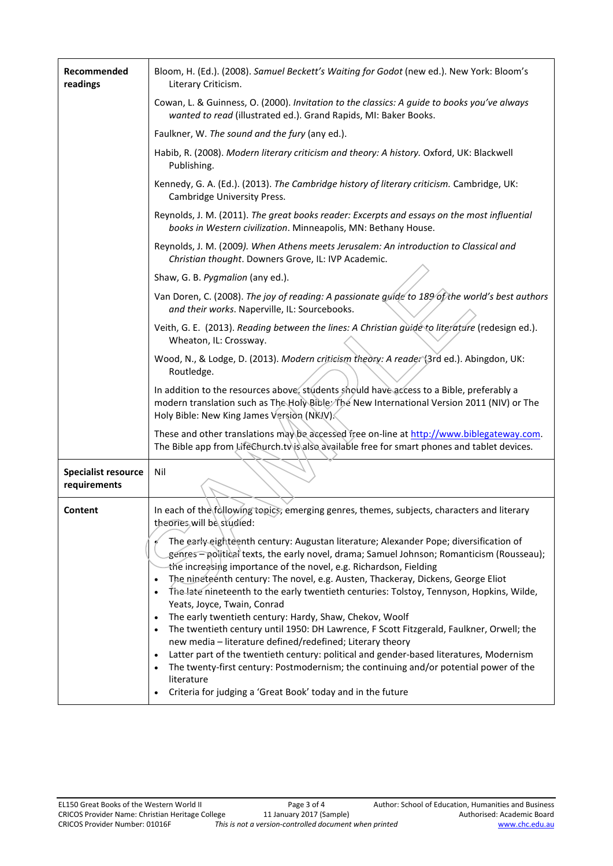| Recommended<br>readings                    | Bloom, H. (Ed.). (2008). Samuel Beckett's Waiting for Godot (new ed.). New York: Bloom's<br>Literary Criticism.                                                                                                                                                                                                                                                                                                                                                                                  |  |  |  |
|--------------------------------------------|--------------------------------------------------------------------------------------------------------------------------------------------------------------------------------------------------------------------------------------------------------------------------------------------------------------------------------------------------------------------------------------------------------------------------------------------------------------------------------------------------|--|--|--|
|                                            | Cowan, L. & Guinness, O. (2000). Invitation to the classics: A guide to books you've always<br>wanted to read (illustrated ed.). Grand Rapids, MI: Baker Books.                                                                                                                                                                                                                                                                                                                                  |  |  |  |
|                                            | Faulkner, W. The sound and the fury (any ed.).                                                                                                                                                                                                                                                                                                                                                                                                                                                   |  |  |  |
|                                            | Habib, R. (2008). Modern literary criticism and theory: A history. Oxford, UK: Blackwell<br>Publishing.                                                                                                                                                                                                                                                                                                                                                                                          |  |  |  |
|                                            | Kennedy, G. A. (Ed.). (2013). The Cambridge history of literary criticism. Cambridge, UK:<br>Cambridge University Press.                                                                                                                                                                                                                                                                                                                                                                         |  |  |  |
|                                            | Reynolds, J. M. (2011). The great books reader: Excerpts and essays on the most influential<br>books in Western civilization. Minneapolis, MN: Bethany House.                                                                                                                                                                                                                                                                                                                                    |  |  |  |
|                                            | Reynolds, J. M. (2009). When Athens meets Jerusalem: An introduction to Classical and<br>Christian thought. Downers Grove, IL: IVP Academic.                                                                                                                                                                                                                                                                                                                                                     |  |  |  |
|                                            | Shaw, G. B. Pygmalion (any ed.).                                                                                                                                                                                                                                                                                                                                                                                                                                                                 |  |  |  |
|                                            | Van Doren, C. (2008). The joy of reading: A passionate guide to 189 of the world's best authors<br>and their works. Naperville, IL: Sourcebooks.                                                                                                                                                                                                                                                                                                                                                 |  |  |  |
|                                            | Veith, G. E. (2013). Reading between the lines: A Christian guide to literature (redesign ed.).<br>Wheaton, IL: Crossway.                                                                                                                                                                                                                                                                                                                                                                        |  |  |  |
|                                            | Wood, N., & Lodge, D. (2013). Modern criticism theory: A reader (3rd ed.). Abingdon, UK:<br>Routledge.                                                                                                                                                                                                                                                                                                                                                                                           |  |  |  |
|                                            | In addition to the resources above, students should have access to a Bible, preferably a<br>modern translation such as The Holy Bible: The New International Version 2011 (NIV) or The<br>Holy Bible: New King James Version (NKIV).                                                                                                                                                                                                                                                             |  |  |  |
|                                            | These and other translations may be accessed free on-line at http://www.biblegateway.com.<br>The Bible app from LifeChurch.tvis also available free for smart phones and tablet devices.                                                                                                                                                                                                                                                                                                         |  |  |  |
| <b>Specialist resource</b><br>requirements | Nil                                                                                                                                                                                                                                                                                                                                                                                                                                                                                              |  |  |  |
| Content                                    | In each of the following topics, emerging genres, themes, subjects, characters and literary<br>theories will be studied:                                                                                                                                                                                                                                                                                                                                                                         |  |  |  |
|                                            | The early-eighteenth century: Augustan literature; Alexander Pope; diversification of<br>genres - political texts, the early novel, drama; Samuel Johnson; Romanticism (Rousseau);<br>the increasing importance of the novel, e.g. Richardson, Fielding<br>The nineteenth century: The novel, e.g. Austen, Thackeray, Dickens, George Eliot<br>$\bullet$<br>The late nineteenth to the early twentieth centuries: Tolstoy, Tennyson, Hopkins, Wilde,<br>$\bullet$<br>Yeats, Joyce, Twain, Conrad |  |  |  |
|                                            | The early twentieth century: Hardy, Shaw, Chekov, Woolf<br>$\bullet$<br>The twentieth century until 1950: DH Lawrence, F Scott Fitzgerald, Faulkner, Orwell; the<br>$\bullet$<br>new media - literature defined/redefined; Literary theory<br>Latter part of the twentieth century: political and gender-based literatures, Modernism<br>$\bullet$<br>The twenty-first century: Postmodernism; the continuing and/or potential power of the<br>$\bullet$<br>literature                           |  |  |  |
|                                            | Criteria for judging a 'Great Book' today and in the future                                                                                                                                                                                                                                                                                                                                                                                                                                      |  |  |  |